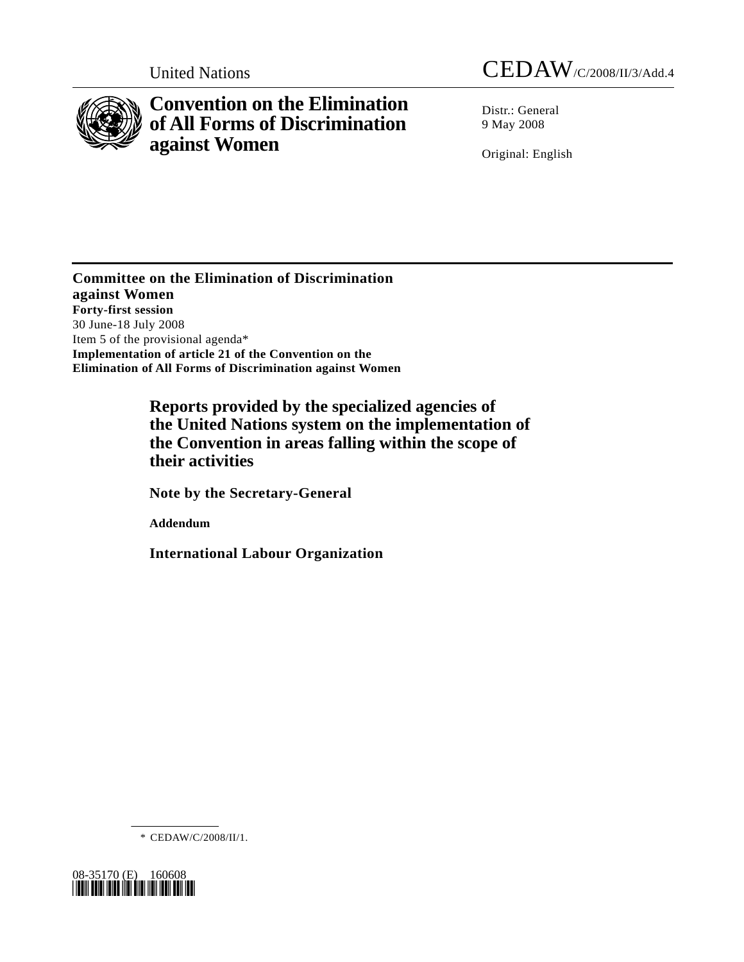

# **Convention on the Elimination of All Forms of Discrimination against Women**

United Nations CEDAW/C/2008/II/3/Add.4

Distr.: General 9 May 2008

Original: English

**Committee on the Elimination of Discrimination against Women Forty-first session**  30 June-18 July 2008 Item 5 of the provisional agenda\* **Implementation of article 21 of the Convention on the Elimination of All Forms of Discrimination against Women** 

> **Reports provided by the specialized agencies of the United Nations system on the implementation of the Convention in areas falling within the scope of their activities**

 **Note by the Secretary-General** 

 **Addendum** 

 **International Labour Organization** 

\* CEDAW/C/2008/II/1.

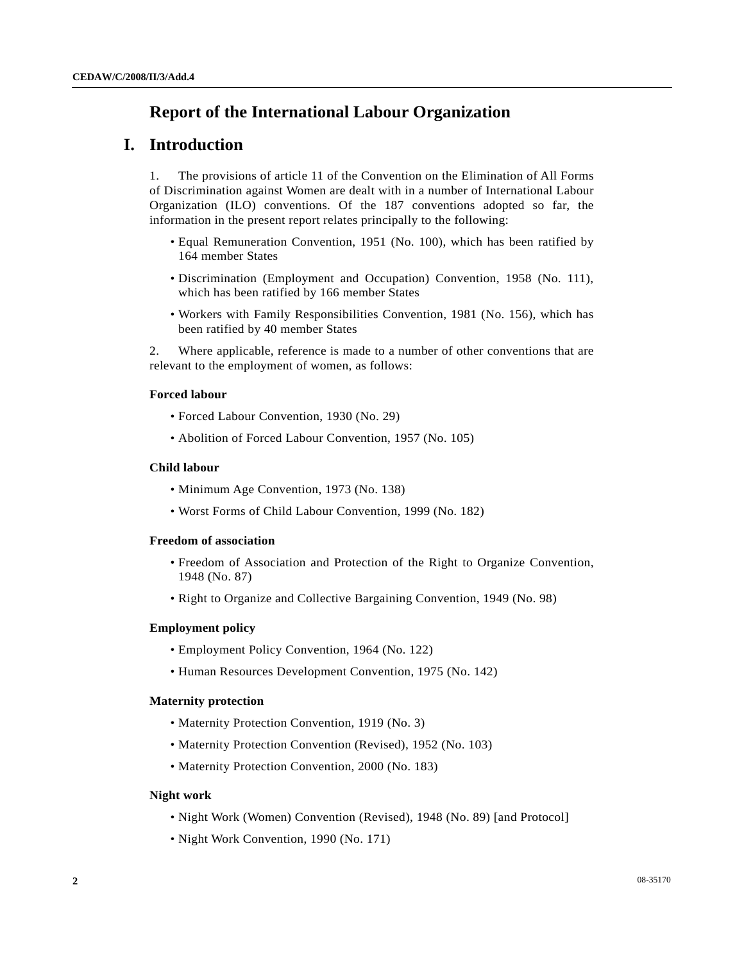# **Report of the International Labour Organization**

# **I. Introduction**

1. The provisions of article 11 of the Convention on the Elimination of All Forms of Discrimination against Women are dealt with in a number of International Labour Organization (ILO) conventions. Of the 187 conventions adopted so far, the information in the present report relates principally to the following:

- Equal Remuneration Convention, 1951 (No. 100), which has been ratified by 164 member States
- Discrimination (Employment and Occupation) Convention, 1958 (No. 111), which has been ratified by 166 member States
- Workers with Family Responsibilities Convention, 1981 (No. 156), which has been ratified by 40 member States

2. Where applicable, reference is made to a number of other conventions that are relevant to the employment of women, as follows:

# **Forced labour**

- Forced Labour Convention, 1930 (No. 29)
- Abolition of Forced Labour Convention, 1957 (No. 105)

# **Child labour**

- Minimum Age Convention, 1973 (No. 138)
- Worst Forms of Child Labour Convention, 1999 (No. 182)

#### **Freedom of association**

- Freedom of Association and Protection of the Right to Organize Convention, 1948 (No. 87)
- Right to Organize and Collective Bargaining Convention, 1949 (No. 98)

### **Employment policy**

- Employment Policy Convention, 1964 (No. 122)
- Human Resources Development Convention, 1975 (No. 142)

#### **Maternity protection**

- Maternity Protection Convention, 1919 (No. 3)
- Maternity Protection Convention (Revised), 1952 (No. 103)
- Maternity Protection Convention, 2000 (No. 183)

#### **Night work**

- Night Work (Women) Convention (Revised), 1948 (No. 89) [and Protocol]
- Night Work Convention, 1990 (No. 171)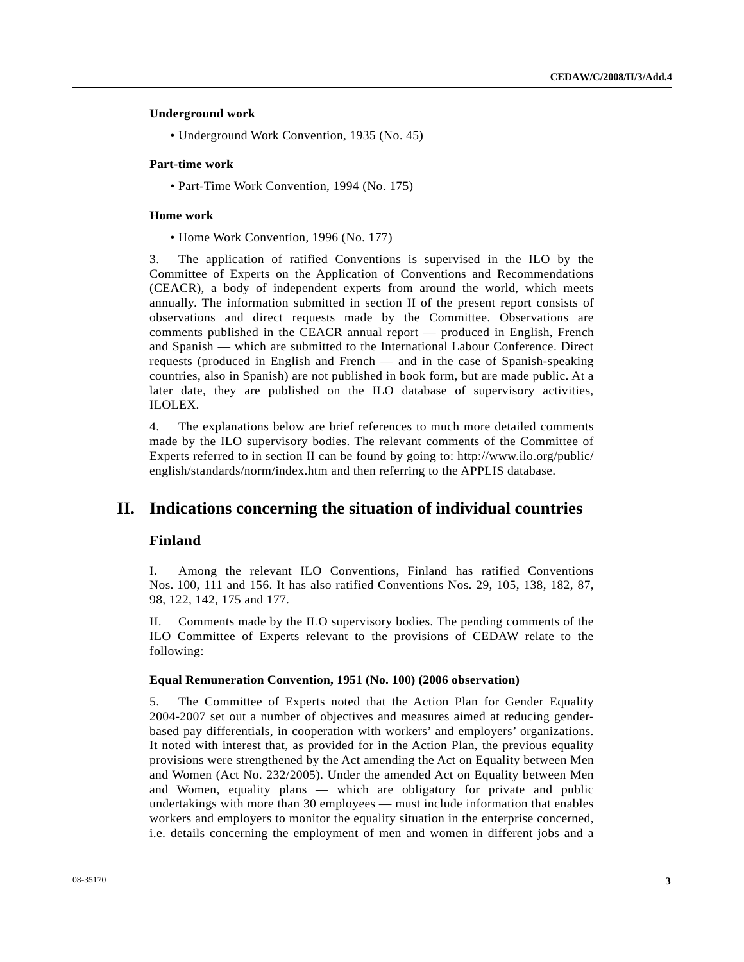### **Underground work**

• Underground Work Convention, 1935 (No. 45)

### **Part-time work**

• Part-Time Work Convention, 1994 (No. 175)

#### **Home work**

• Home Work Convention, 1996 (No. 177)

3. The application of ratified Conventions is supervised in the ILO by the Committee of Experts on the Application of Conventions and Recommendations (CEACR), a body of independent experts from around the world, which meets annually. The information submitted in section II of the present report consists of observations and direct requests made by the Committee. Observations are comments published in the CEACR annual report — produced in English, French and Spanish — which are submitted to the International Labour Conference. Direct requests (produced in English and French — and in the case of Spanish-speaking countries, also in Spanish) are not published in book form, but are made public. At a later date, they are published on the ILO database of supervisory activities, ILOLEX.

4. The explanations below are brief references to much more detailed comments made by the ILO supervisory bodies. The relevant comments of the Committee of Experts referred to in section II can be found by going to: http://www.ilo.org/public/ english/standards/norm/index.htm and then referring to the APPLIS database.

# **II. Indications concerning the situation of individual countries**

# **Finland**

I. Among the relevant ILO Conventions, Finland has ratified Conventions Nos. 100, 111 and 156. It has also ratified Conventions Nos. 29, 105, 138, 182, 87, 98, 122, 142, 175 and 177.

II. Comments made by the ILO supervisory bodies. The pending comments of the ILO Committee of Experts relevant to the provisions of CEDAW relate to the following:

# **Equal Remuneration Convention, 1951 (No. 100) (2006 observation)**

5. The Committee of Experts noted that the Action Plan for Gender Equality 2004-2007 set out a number of objectives and measures aimed at reducing genderbased pay differentials, in cooperation with workers' and employers' organizations. It noted with interest that, as provided for in the Action Plan, the previous equality provisions were strengthened by the Act amending the Act on Equality between Men and Women (Act No. 232/2005). Under the amended Act on Equality between Men and Women, equality plans — which are obligatory for private and public undertakings with more than 30 employees — must include information that enables workers and employers to monitor the equality situation in the enterprise concerned, i.e. details concerning the employment of men and women in different jobs and a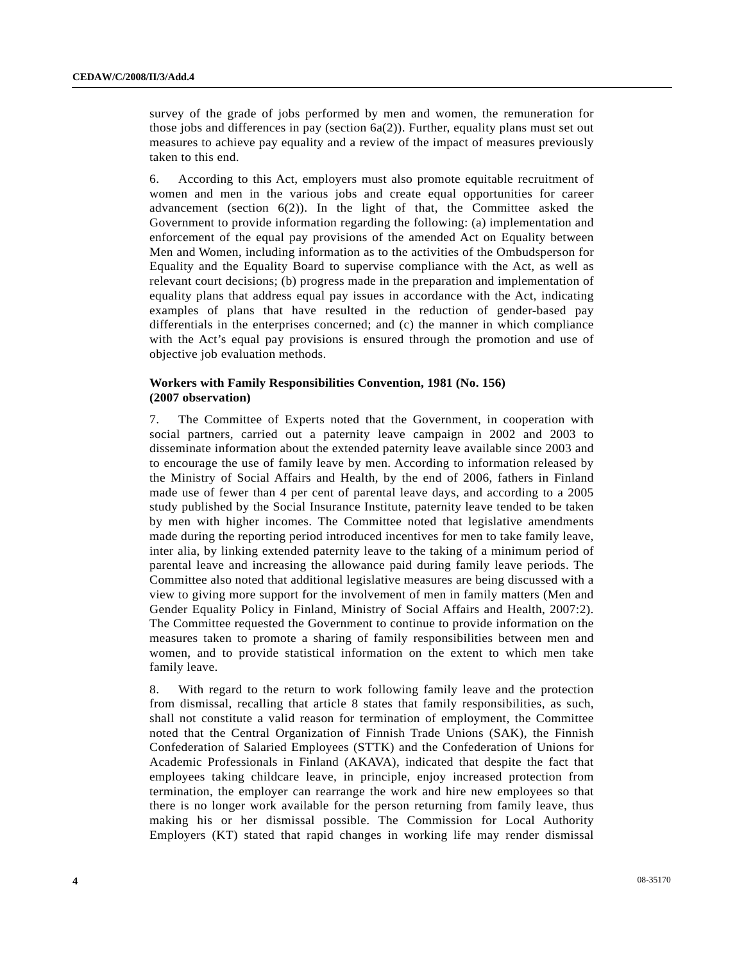survey of the grade of jobs performed by men and women, the remuneration for those jobs and differences in pay (section  $6a(2)$ ). Further, equality plans must set out measures to achieve pay equality and a review of the impact of measures previously taken to this end.

6. According to this Act, employers must also promote equitable recruitment of women and men in the various jobs and create equal opportunities for career advancement (section  $6(2)$ ). In the light of that, the Committee asked the Government to provide information regarding the following: (a) implementation and enforcement of the equal pay provisions of the amended Act on Equality between Men and Women, including information as to the activities of the Ombudsperson for Equality and the Equality Board to supervise compliance with the Act, as well as relevant court decisions; (b) progress made in the preparation and implementation of equality plans that address equal pay issues in accordance with the Act, indicating examples of plans that have resulted in the reduction of gender-based pay differentials in the enterprises concerned; and (c) the manner in which compliance with the Act's equal pay provisions is ensured through the promotion and use of objective job evaluation methods.

#### **Workers with Family Responsibilities Convention, 1981 (No. 156) (2007 observation)**

7. The Committee of Experts noted that the Government, in cooperation with social partners, carried out a paternity leave campaign in 2002 and 2003 to disseminate information about the extended paternity leave available since 2003 and to encourage the use of family leave by men. According to information released by the Ministry of Social Affairs and Health, by the end of 2006, fathers in Finland made use of fewer than 4 per cent of parental leave days, and according to a 2005 study published by the Social Insurance Institute, paternity leave tended to be taken by men with higher incomes. The Committee noted that legislative amendments made during the reporting period introduced incentives for men to take family leave, inter alia, by linking extended paternity leave to the taking of a minimum period of parental leave and increasing the allowance paid during family leave periods. The Committee also noted that additional legislative measures are being discussed with a view to giving more support for the involvement of men in family matters (Men and Gender Equality Policy in Finland, Ministry of Social Affairs and Health, 2007:2). The Committee requested the Government to continue to provide information on the measures taken to promote a sharing of family responsibilities between men and women, and to provide statistical information on the extent to which men take family leave.

8. With regard to the return to work following family leave and the protection from dismissal, recalling that article 8 states that family responsibilities, as such, shall not constitute a valid reason for termination of employment, the Committee noted that the Central Organization of Finnish Trade Unions (SAK), the Finnish Confederation of Salaried Employees (STTK) and the Confederation of Unions for Academic Professionals in Finland (AKAVA), indicated that despite the fact that employees taking childcare leave, in principle, enjoy increased protection from termination, the employer can rearrange the work and hire new employees so that there is no longer work available for the person returning from family leave, thus making his or her dismissal possible. The Commission for Local Authority Employers (KT) stated that rapid changes in working life may render dismissal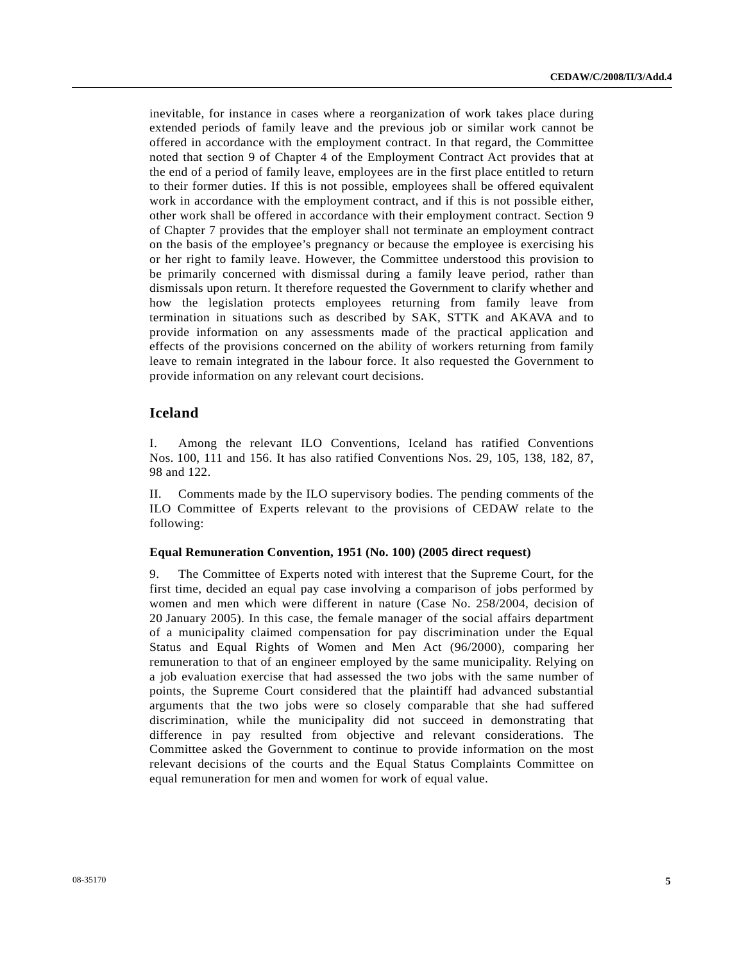inevitable, for instance in cases where a reorganization of work takes place during extended periods of family leave and the previous job or similar work cannot be offered in accordance with the employment contract. In that regard, the Committee noted that section 9 of Chapter 4 of the Employment Contract Act provides that at the end of a period of family leave, employees are in the first place entitled to return to their former duties. If this is not possible, employees shall be offered equivalent work in accordance with the employment contract, and if this is not possible either, other work shall be offered in accordance with their employment contract. Section 9 of Chapter 7 provides that the employer shall not terminate an employment contract on the basis of the employee's pregnancy or because the employee is exercising his or her right to family leave. However, the Committee understood this provision to be primarily concerned with dismissal during a family leave period, rather than dismissals upon return. It therefore requested the Government to clarify whether and how the legislation protects employees returning from family leave from termination in situations such as described by SAK, STTK and AKAVA and to provide information on any assessments made of the practical application and effects of the provisions concerned on the ability of workers returning from family leave to remain integrated in the labour force. It also requested the Government to provide information on any relevant court decisions.

# **Iceland**

I. Among the relevant ILO Conventions, Iceland has ratified Conventions Nos. 100, 111 and 156. It has also ratified Conventions Nos. 29, 105, 138, 182, 87, 98 and 122.

II. Comments made by the ILO supervisory bodies. The pending comments of the ILO Committee of Experts relevant to the provisions of CEDAW relate to the following:

#### **Equal Remuneration Convention, 1951 (No. 100) (2005 direct request)**

9. The Committee of Experts noted with interest that the Supreme Court, for the first time, decided an equal pay case involving a comparison of jobs performed by women and men which were different in nature (Case No. 258/2004, decision of 20 January 2005). In this case, the female manager of the social affairs department of a municipality claimed compensation for pay discrimination under the Equal Status and Equal Rights of Women and Men Act (96/2000), comparing her remuneration to that of an engineer employed by the same municipality. Relying on a job evaluation exercise that had assessed the two jobs with the same number of points, the Supreme Court considered that the plaintiff had advanced substantial arguments that the two jobs were so closely comparable that she had suffered discrimination, while the municipality did not succeed in demonstrating that difference in pay resulted from objective and relevant considerations. The Committee asked the Government to continue to provide information on the most relevant decisions of the courts and the Equal Status Complaints Committee on equal remuneration for men and women for work of equal value.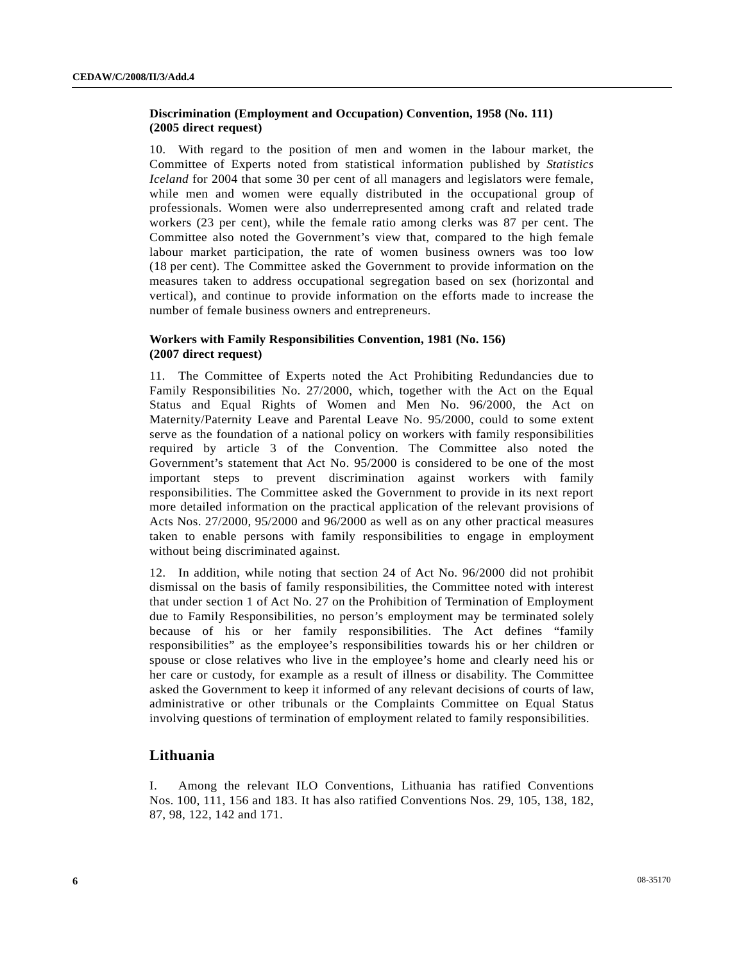# **Discrimination (Employment and Occupation) Convention, 1958 (No. 111) (2005 direct request)**

10. With regard to the position of men and women in the labour market, the Committee of Experts noted from statistical information published by *Statistics Iceland* for 2004 that some 30 per cent of all managers and legislators were female, while men and women were equally distributed in the occupational group of professionals. Women were also underrepresented among craft and related trade workers (23 per cent), while the female ratio among clerks was 87 per cent. The Committee also noted the Government's view that, compared to the high female labour market participation, the rate of women business owners was too low (18 per cent). The Committee asked the Government to provide information on the measures taken to address occupational segregation based on sex (horizontal and vertical), and continue to provide information on the efforts made to increase the number of female business owners and entrepreneurs.

# **Workers with Family Responsibilities Convention, 1981 (No. 156) (2007 direct request)**

11. The Committee of Experts noted the Act Prohibiting Redundancies due to Family Responsibilities No. 27/2000, which, together with the Act on the Equal Status and Equal Rights of Women and Men No. 96/2000, the Act on Maternity/Paternity Leave and Parental Leave No. 95/2000, could to some extent serve as the foundation of a national policy on workers with family responsibilities required by article 3 of the Convention. The Committee also noted the Government's statement that Act No. 95/2000 is considered to be one of the most important steps to prevent discrimination against workers with family responsibilities. The Committee asked the Government to provide in its next report more detailed information on the practical application of the relevant provisions of Acts Nos. 27/2000, 95/2000 and 96/2000 as well as on any other practical measures taken to enable persons with family responsibilities to engage in employment without being discriminated against.

12. In addition, while noting that section 24 of Act No. 96/2000 did not prohibit dismissal on the basis of family responsibilities, the Committee noted with interest that under section 1 of Act No. 27 on the Prohibition of Termination of Employment due to Family Responsibilities, no person's employment may be terminated solely because of his or her family responsibilities. The Act defines "family responsibilities" as the employee's responsibilities towards his or her children or spouse or close relatives who live in the employee's home and clearly need his or her care or custody, for example as a result of illness or disability. The Committee asked the Government to keep it informed of any relevant decisions of courts of law, administrative or other tribunals or the Complaints Committee on Equal Status involving questions of termination of employment related to family responsibilities.

# **Lithuania**

I. Among the relevant ILO Conventions, Lithuania has ratified Conventions Nos. 100, 111, 156 and 183. It has also ratified Conventions Nos. 29, 105, 138, 182, 87, 98, 122, 142 and 171.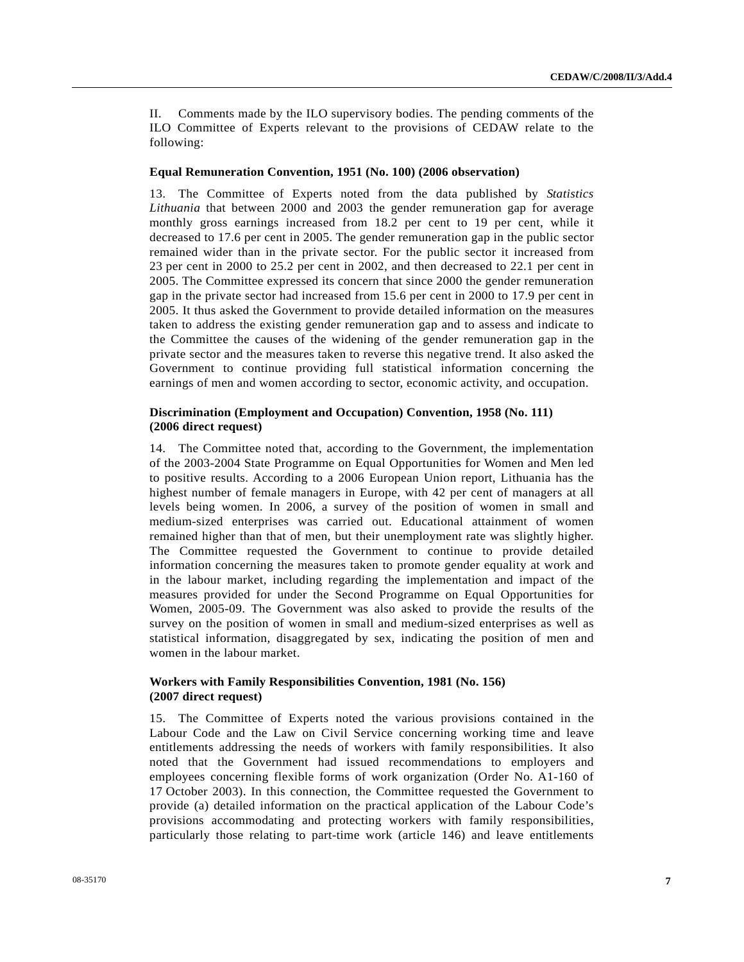II. Comments made by the ILO supervisory bodies. The pending comments of the ILO Committee of Experts relevant to the provisions of CEDAW relate to the following:

#### **Equal Remuneration Convention, 1951 (No. 100) (2006 observation)**

13. The Committee of Experts noted from the data published by *Statistics Lithuania* that between 2000 and 2003 the gender remuneration gap for average monthly gross earnings increased from 18.2 per cent to 19 per cent, while it decreased to 17.6 per cent in 2005. The gender remuneration gap in the public sector remained wider than in the private sector. For the public sector it increased from 23 per cent in 2000 to 25.2 per cent in 2002, and then decreased to 22.1 per cent in 2005. The Committee expressed its concern that since 2000 the gender remuneration gap in the private sector had increased from 15.6 per cent in 2000 to 17.9 per cent in 2005. It thus asked the Government to provide detailed information on the measures taken to address the existing gender remuneration gap and to assess and indicate to the Committee the causes of the widening of the gender remuneration gap in the private sector and the measures taken to reverse this negative trend. It also asked the Government to continue providing full statistical information concerning the earnings of men and women according to sector, economic activity, and occupation.

#### **Discrimination (Employment and Occupation) Convention, 1958 (No. 111) (2006 direct request)**

14. The Committee noted that, according to the Government, the implementation of the 2003-2004 State Programme on Equal Opportunities for Women and Men led to positive results. According to a 2006 European Union report, Lithuania has the highest number of female managers in Europe, with 42 per cent of managers at all levels being women. In 2006, a survey of the position of women in small and medium-sized enterprises was carried out. Educational attainment of women remained higher than that of men, but their unemployment rate was slightly higher. The Committee requested the Government to continue to provide detailed information concerning the measures taken to promote gender equality at work and in the labour market, including regarding the implementation and impact of the measures provided for under the Second Programme on Equal Opportunities for Women, 2005-09. The Government was also asked to provide the results of the survey on the position of women in small and medium-sized enterprises as well as statistical information, disaggregated by sex, indicating the position of men and women in the labour market.

# **Workers with Family Responsibilities Convention, 1981 (No. 156) (2007 direct request)**

15. The Committee of Experts noted the various provisions contained in the Labour Code and the Law on Civil Service concerning working time and leave entitlements addressing the needs of workers with family responsibilities. It also noted that the Government had issued recommendations to employers and employees concerning flexible forms of work organization (Order No. A1-160 of 17 October 2003). In this connection, the Committee requested the Government to provide (a) detailed information on the practical application of the Labour Code's provisions accommodating and protecting workers with family responsibilities, particularly those relating to part-time work (article 146) and leave entitlements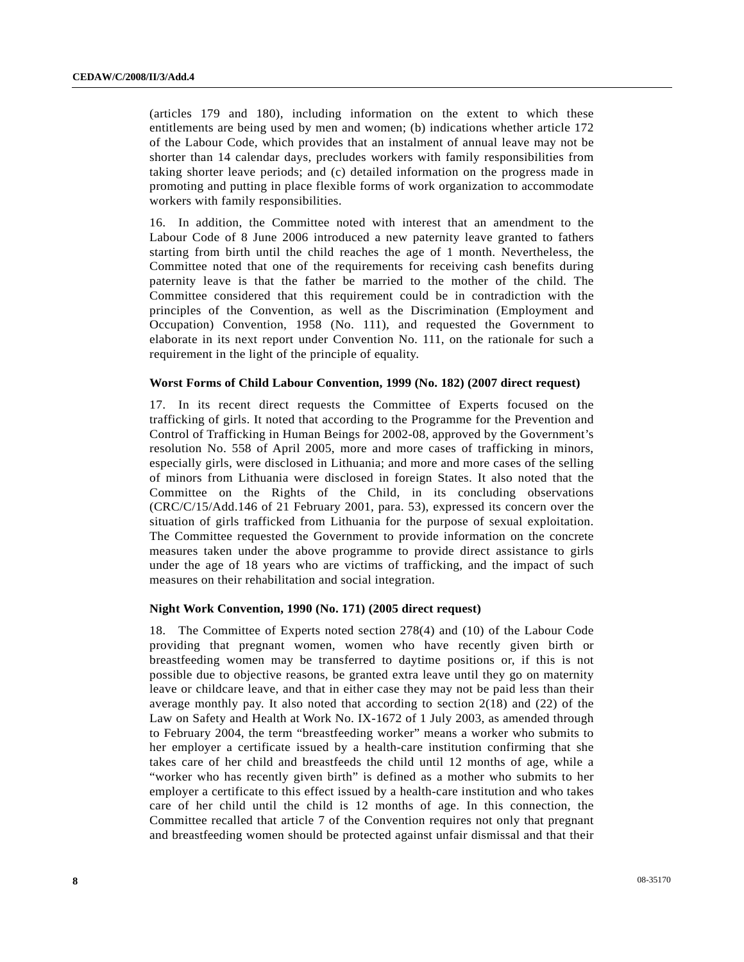(articles 179 and 180), including information on the extent to which these entitlements are being used by men and women; (b) indications whether article 172 of the Labour Code, which provides that an instalment of annual leave may not be shorter than 14 calendar days, precludes workers with family responsibilities from taking shorter leave periods; and (c) detailed information on the progress made in promoting and putting in place flexible forms of work organization to accommodate workers with family responsibilities.

16. In addition, the Committee noted with interest that an amendment to the Labour Code of 8 June 2006 introduced a new paternity leave granted to fathers starting from birth until the child reaches the age of 1 month. Nevertheless, the Committee noted that one of the requirements for receiving cash benefits during paternity leave is that the father be married to the mother of the child. The Committee considered that this requirement could be in contradiction with the principles of the Convention, as well as the Discrimination (Employment and Occupation) Convention, 1958 (No. 111), and requested the Government to elaborate in its next report under Convention No. 111, on the rationale for such a requirement in the light of the principle of equality.

#### **Worst Forms of Child Labour Convention, 1999 (No. 182) (2007 direct request)**

17. In its recent direct requests the Committee of Experts focused on the trafficking of girls. It noted that according to the Programme for the Prevention and Control of Trafficking in Human Beings for 2002-08, approved by the Government's resolution No. 558 of April 2005, more and more cases of trafficking in minors, especially girls, were disclosed in Lithuania; and more and more cases of the selling of minors from Lithuania were disclosed in foreign States. It also noted that the Committee on the Rights of the Child, in its concluding observations (CRC/C/15/Add.146 of 21 February 2001, para. 53), expressed its concern over the situation of girls trafficked from Lithuania for the purpose of sexual exploitation. The Committee requested the Government to provide information on the concrete measures taken under the above programme to provide direct assistance to girls under the age of 18 years who are victims of trafficking, and the impact of such measures on their rehabilitation and social integration.

#### **Night Work Convention, 1990 (No. 171) (2005 direct request)**

18. The Committee of Experts noted section 278(4) and (10) of the Labour Code providing that pregnant women, women who have recently given birth or breastfeeding women may be transferred to daytime positions or, if this is not possible due to objective reasons, be granted extra leave until they go on maternity leave or childcare leave, and that in either case they may not be paid less than their average monthly pay. It also noted that according to section 2(18) and (22) of the Law on Safety and Health at Work No. IX-1672 of 1 July 2003, as amended through to February 2004, the term "breastfeeding worker" means a worker who submits to her employer a certificate issued by a health-care institution confirming that she takes care of her child and breastfeeds the child until 12 months of age, while a "worker who has recently given birth" is defined as a mother who submits to her employer a certificate to this effect issued by a health-care institution and who takes care of her child until the child is 12 months of age. In this connection, the Committee recalled that article 7 of the Convention requires not only that pregnant and breastfeeding women should be protected against unfair dismissal and that their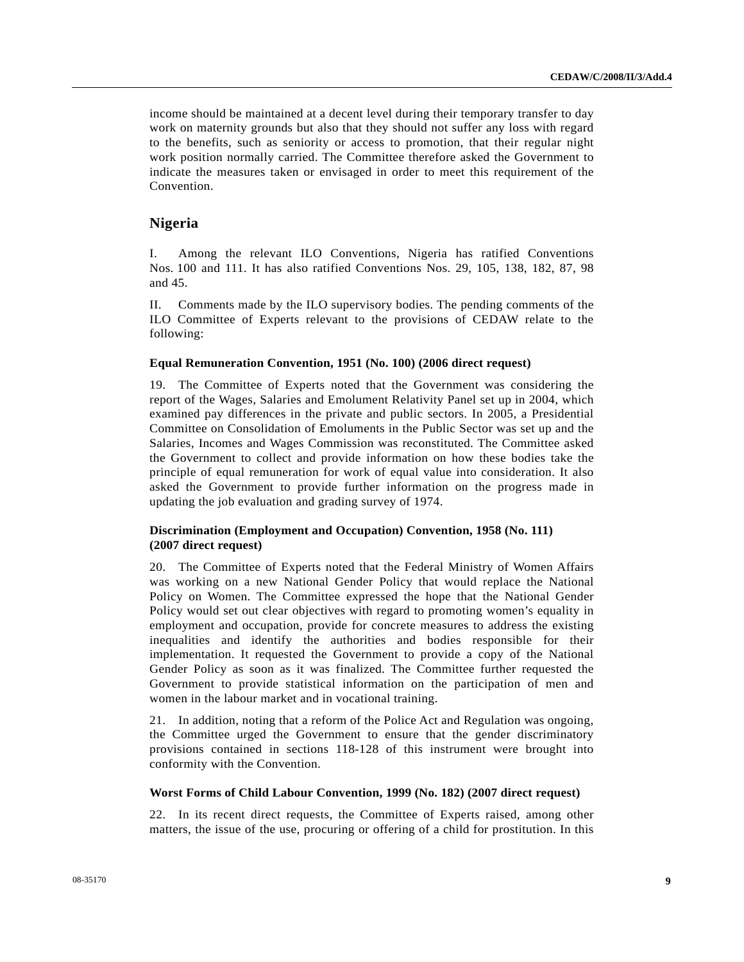income should be maintained at a decent level during their temporary transfer to day work on maternity grounds but also that they should not suffer any loss with regard to the benefits, such as seniority or access to promotion, that their regular night work position normally carried. The Committee therefore asked the Government to indicate the measures taken or envisaged in order to meet this requirement of the Convention.

# **Nigeria**

I. Among the relevant ILO Conventions, Nigeria has ratified Conventions Nos. 100 and 111. It has also ratified Conventions Nos. 29, 105, 138, 182, 87, 98 and 45.

II. Comments made by the ILO supervisory bodies. The pending comments of the ILO Committee of Experts relevant to the provisions of CEDAW relate to the following:

#### **Equal Remuneration Convention, 1951 (No. 100) (2006 direct request)**

19. The Committee of Experts noted that the Government was considering the report of the Wages, Salaries and Emolument Relativity Panel set up in 2004, which examined pay differences in the private and public sectors. In 2005, a Presidential Committee on Consolidation of Emoluments in the Public Sector was set up and the Salaries, Incomes and Wages Commission was reconstituted. The Committee asked the Government to collect and provide information on how these bodies take the principle of equal remuneration for work of equal value into consideration. It also asked the Government to provide further information on the progress made in updating the job evaluation and grading survey of 1974.

# **Discrimination (Employment and Occupation) Convention, 1958 (No. 111) (2007 direct request)**

20. The Committee of Experts noted that the Federal Ministry of Women Affairs was working on a new National Gender Policy that would replace the National Policy on Women. The Committee expressed the hope that the National Gender Policy would set out clear objectives with regard to promoting women's equality in employment and occupation, provide for concrete measures to address the existing inequalities and identify the authorities and bodies responsible for their implementation. It requested the Government to provide a copy of the National Gender Policy as soon as it was finalized. The Committee further requested the Government to provide statistical information on the participation of men and women in the labour market and in vocational training.

21. In addition, noting that a reform of the Police Act and Regulation was ongoing, the Committee urged the Government to ensure that the gender discriminatory provisions contained in sections 118-128 of this instrument were brought into conformity with the Convention.

#### **Worst Forms of Child Labour Convention, 1999 (No. 182) (2007 direct request)**

22. In its recent direct requests, the Committee of Experts raised, among other matters, the issue of the use, procuring or offering of a child for prostitution. In this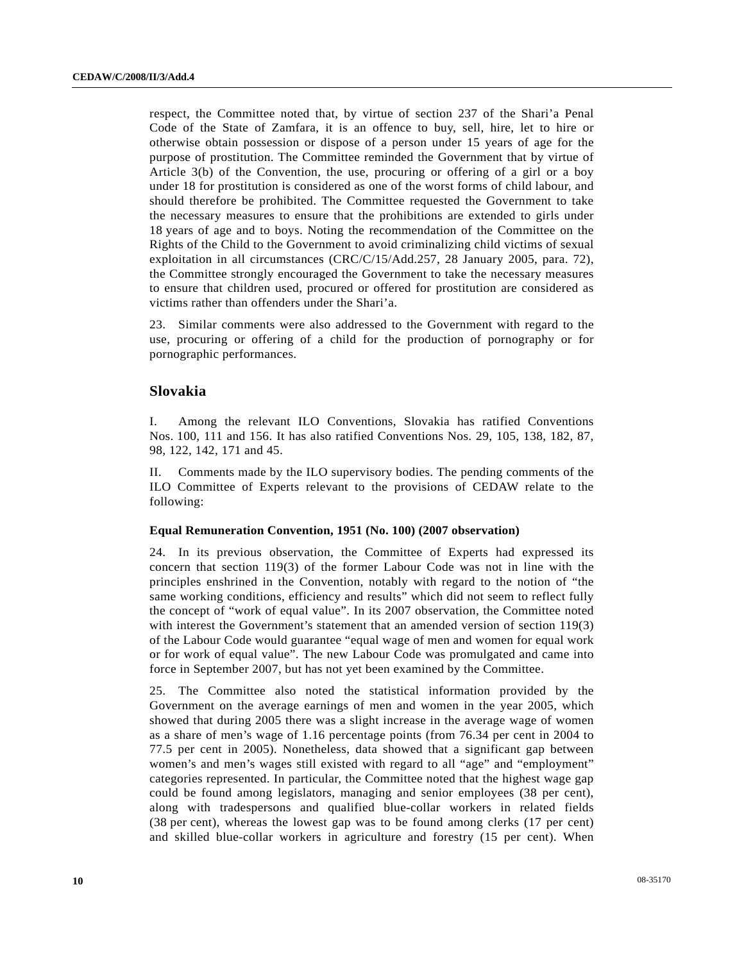respect, the Committee noted that, by virtue of section 237 of the Shari'a Penal Code of the State of Zamfara, it is an offence to buy, sell, hire, let to hire or otherwise obtain possession or dispose of a person under 15 years of age for the purpose of prostitution. The Committee reminded the Government that by virtue of Article 3(b) of the Convention, the use, procuring or offering of a girl or a boy under 18 for prostitution is considered as one of the worst forms of child labour, and should therefore be prohibited. The Committee requested the Government to take the necessary measures to ensure that the prohibitions are extended to girls under 18 years of age and to boys. Noting the recommendation of the Committee on the Rights of the Child to the Government to avoid criminalizing child victims of sexual exploitation in all circumstances (CRC/C/15/Add.257, 28 January 2005, para. 72), the Committee strongly encouraged the Government to take the necessary measures to ensure that children used, procured or offered for prostitution are considered as victims rather than offenders under the Shari'a.

23. Similar comments were also addressed to the Government with regard to the use, procuring or offering of a child for the production of pornography or for pornographic performances.

## **Slovakia**

I. Among the relevant ILO Conventions, Slovakia has ratified Conventions Nos. 100, 111 and 156. It has also ratified Conventions Nos. 29, 105, 138, 182, 87, 98, 122, 142, 171 and 45.

II. Comments made by the ILO supervisory bodies. The pending comments of the ILO Committee of Experts relevant to the provisions of CEDAW relate to the following:

#### **Equal Remuneration Convention, 1951 (No. 100) (2007 observation)**

24. In its previous observation, the Committee of Experts had expressed its concern that section 119(3) of the former Labour Code was not in line with the principles enshrined in the Convention, notably with regard to the notion of "the same working conditions, efficiency and results" which did not seem to reflect fully the concept of "work of equal value". In its 2007 observation, the Committee noted with interest the Government's statement that an amended version of section 119(3) of the Labour Code would guarantee "equal wage of men and women for equal work or for work of equal value". The new Labour Code was promulgated and came into force in September 2007, but has not yet been examined by the Committee.

25. The Committee also noted the statistical information provided by the Government on the average earnings of men and women in the year 2005, which showed that during 2005 there was a slight increase in the average wage of women as a share of men's wage of 1.16 percentage points (from 76.34 per cent in 2004 to 77.5 per cent in 2005). Nonetheless, data showed that a significant gap between women's and men's wages still existed with regard to all "age" and "employment" categories represented. In particular, the Committee noted that the highest wage gap could be found among legislators, managing and senior employees (38 per cent), along with tradespersons and qualified blue-collar workers in related fields (38 per cent), whereas the lowest gap was to be found among clerks (17 per cent) and skilled blue-collar workers in agriculture and forestry (15 per cent). When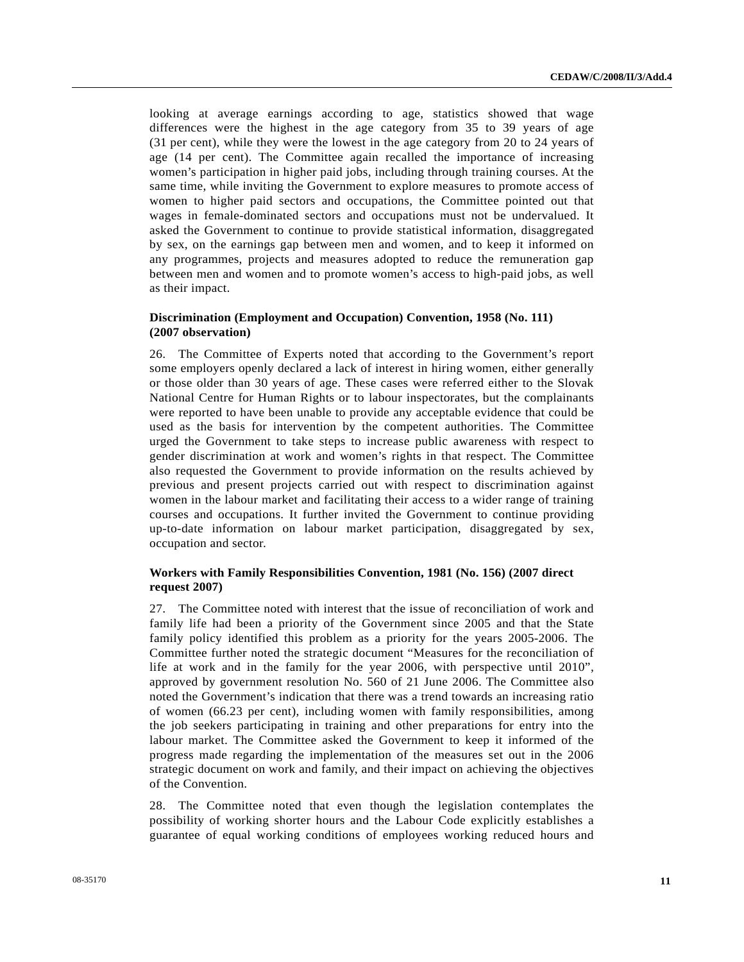looking at average earnings according to age, statistics showed that wage differences were the highest in the age category from 35 to 39 years of age (31 per cent), while they were the lowest in the age category from 20 to 24 years of age (14 per cent). The Committee again recalled the importance of increasing women's participation in higher paid jobs, including through training courses. At the same time, while inviting the Government to explore measures to promote access of women to higher paid sectors and occupations, the Committee pointed out that wages in female-dominated sectors and occupations must not be undervalued. It asked the Government to continue to provide statistical information, disaggregated by sex, on the earnings gap between men and women, and to keep it informed on any programmes, projects and measures adopted to reduce the remuneration gap between men and women and to promote women's access to high-paid jobs, as well as their impact.

# **Discrimination (Employment and Occupation) Convention, 1958 (No. 111) (2007 observation)**

26. The Committee of Experts noted that according to the Government's report some employers openly declared a lack of interest in hiring women, either generally or those older than 30 years of age. These cases were referred either to the Slovak National Centre for Human Rights or to labour inspectorates, but the complainants were reported to have been unable to provide any acceptable evidence that could be used as the basis for intervention by the competent authorities. The Committee urged the Government to take steps to increase public awareness with respect to gender discrimination at work and women's rights in that respect. The Committee also requested the Government to provide information on the results achieved by previous and present projects carried out with respect to discrimination against women in the labour market and facilitating their access to a wider range of training courses and occupations. It further invited the Government to continue providing up-to-date information on labour market participation, disaggregated by sex, occupation and sector.

# **Workers with Family Responsibilities Convention, 1981 (No. 156) (2007 direct request 2007)**

27. The Committee noted with interest that the issue of reconciliation of work and family life had been a priority of the Government since 2005 and that the State family policy identified this problem as a priority for the years 2005-2006. The Committee further noted the strategic document "Measures for the reconciliation of life at work and in the family for the year 2006, with perspective until 2010", approved by government resolution No. 560 of 21 June 2006. The Committee also noted the Government's indication that there was a trend towards an increasing ratio of women (66.23 per cent), including women with family responsibilities, among the job seekers participating in training and other preparations for entry into the labour market. The Committee asked the Government to keep it informed of the progress made regarding the implementation of the measures set out in the 2006 strategic document on work and family, and their impact on achieving the objectives of the Convention.

28. The Committee noted that even though the legislation contemplates the possibility of working shorter hours and the Labour Code explicitly establishes a guarantee of equal working conditions of employees working reduced hours and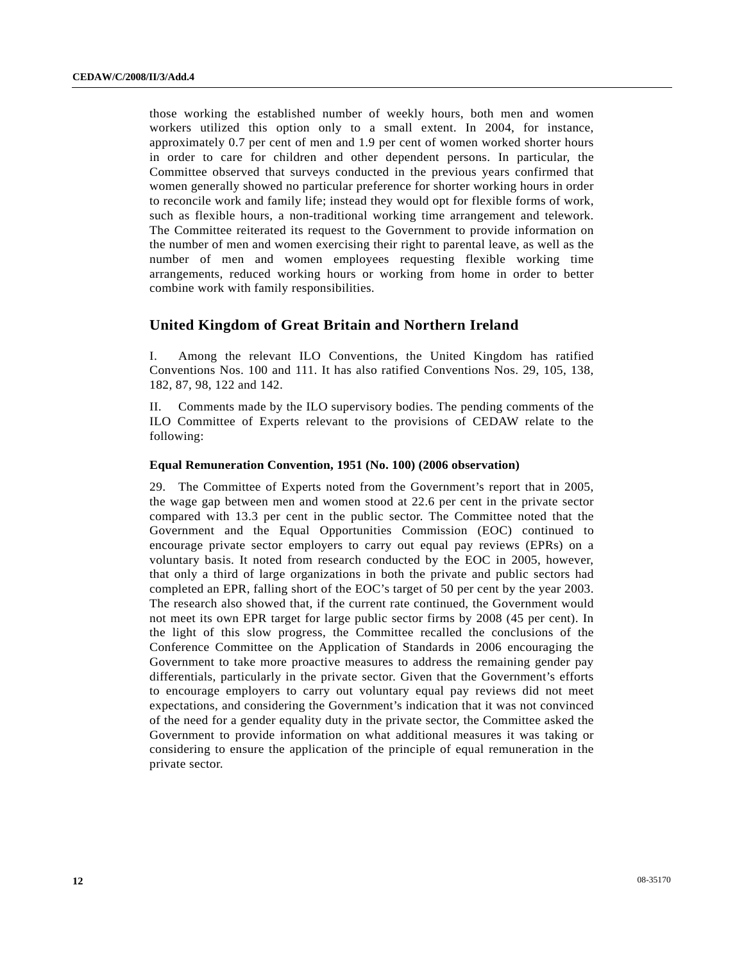those working the established number of weekly hours, both men and women workers utilized this option only to a small extent. In 2004, for instance, approximately 0.7 per cent of men and 1.9 per cent of women worked shorter hours in order to care for children and other dependent persons. In particular, the Committee observed that surveys conducted in the previous years confirmed that women generally showed no particular preference for shorter working hours in order to reconcile work and family life; instead they would opt for flexible forms of work, such as flexible hours, a non-traditional working time arrangement and telework. The Committee reiterated its request to the Government to provide information on the number of men and women exercising their right to parental leave, as well as the number of men and women employees requesting flexible working time arrangements, reduced working hours or working from home in order to better combine work with family responsibilities.

# **United Kingdom of Great Britain and Northern Ireland**

I. Among the relevant ILO Conventions, the United Kingdom has ratified Conventions Nos. 100 and 111. It has also ratified Conventions Nos. 29, 105, 138, 182, 87, 98, 122 and 142.

II. Comments made by the ILO supervisory bodies. The pending comments of the ILO Committee of Experts relevant to the provisions of CEDAW relate to the following:

#### **Equal Remuneration Convention, 1951 (No. 100) (2006 observation)**

29. The Committee of Experts noted from the Government's report that in 2005, the wage gap between men and women stood at 22.6 per cent in the private sector compared with 13.3 per cent in the public sector. The Committee noted that the Government and the Equal Opportunities Commission (EOC) continued to encourage private sector employers to carry out equal pay reviews (EPRs) on a voluntary basis. It noted from research conducted by the EOC in 2005, however, that only a third of large organizations in both the private and public sectors had completed an EPR, falling short of the EOC's target of 50 per cent by the year 2003. The research also showed that, if the current rate continued, the Government would not meet its own EPR target for large public sector firms by 2008 (45 per cent). In the light of this slow progress, the Committee recalled the conclusions of the Conference Committee on the Application of Standards in 2006 encouraging the Government to take more proactive measures to address the remaining gender pay differentials, particularly in the private sector. Given that the Government's efforts to encourage employers to carry out voluntary equal pay reviews did not meet expectations, and considering the Government's indication that it was not convinced of the need for a gender equality duty in the private sector, the Committee asked the Government to provide information on what additional measures it was taking or considering to ensure the application of the principle of equal remuneration in the private sector.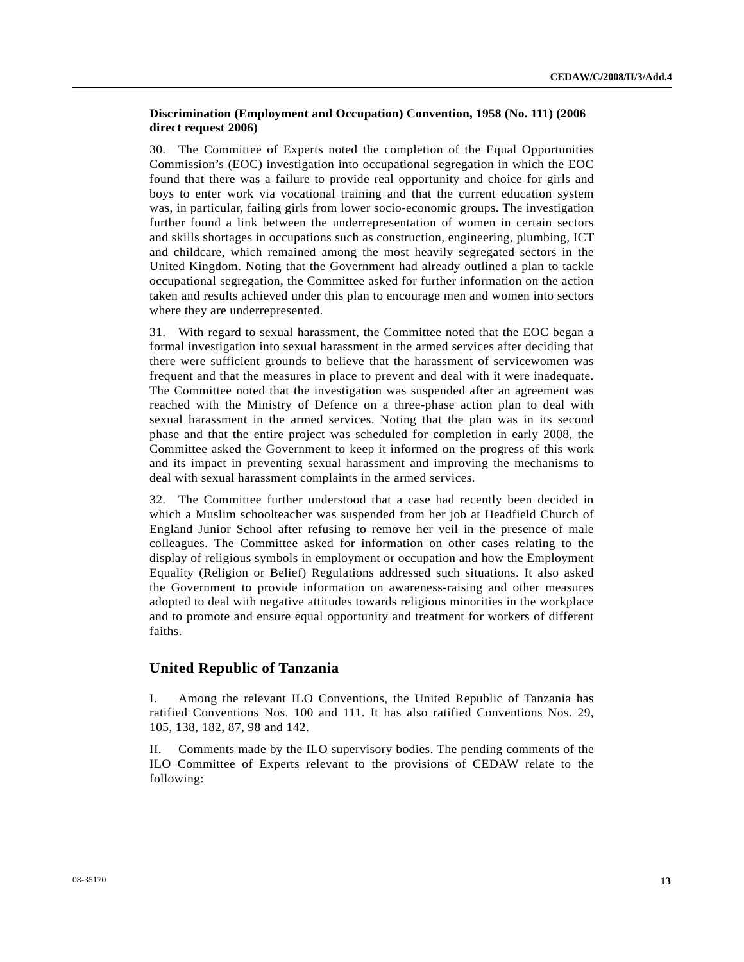#### **Discrimination (Employment and Occupation) Convention, 1958 (No. 111) (2006 direct request 2006)**

30. The Committee of Experts noted the completion of the Equal Opportunities Commission's (EOC) investigation into occupational segregation in which the EOC found that there was a failure to provide real opportunity and choice for girls and boys to enter work via vocational training and that the current education system was, in particular, failing girls from lower socio-economic groups. The investigation further found a link between the underrepresentation of women in certain sectors and skills shortages in occupations such as construction, engineering, plumbing, ICT and childcare, which remained among the most heavily segregated sectors in the United Kingdom. Noting that the Government had already outlined a plan to tackle occupational segregation, the Committee asked for further information on the action taken and results achieved under this plan to encourage men and women into sectors where they are underrepresented.

31. With regard to sexual harassment, the Committee noted that the EOC began a formal investigation into sexual harassment in the armed services after deciding that there were sufficient grounds to believe that the harassment of servicewomen was frequent and that the measures in place to prevent and deal with it were inadequate. The Committee noted that the investigation was suspended after an agreement was reached with the Ministry of Defence on a three-phase action plan to deal with sexual harassment in the armed services. Noting that the plan was in its second phase and that the entire project was scheduled for completion in early 2008, the Committee asked the Government to keep it informed on the progress of this work and its impact in preventing sexual harassment and improving the mechanisms to deal with sexual harassment complaints in the armed services.

32. The Committee further understood that a case had recently been decided in which a Muslim schoolteacher was suspended from her job at Headfield Church of England Junior School after refusing to remove her veil in the presence of male colleagues. The Committee asked for information on other cases relating to the display of religious symbols in employment or occupation and how the Employment Equality (Religion or Belief) Regulations addressed such situations. It also asked the Government to provide information on awareness-raising and other measures adopted to deal with negative attitudes towards religious minorities in the workplace and to promote and ensure equal opportunity and treatment for workers of different faiths.

# **United Republic of Tanzania**

I. Among the relevant ILO Conventions, the United Republic of Tanzania has ratified Conventions Nos. 100 and 111. It has also ratified Conventions Nos. 29, 105, 138, 182, 87, 98 and 142.

II. Comments made by the ILO supervisory bodies. The pending comments of the ILO Committee of Experts relevant to the provisions of CEDAW relate to the following: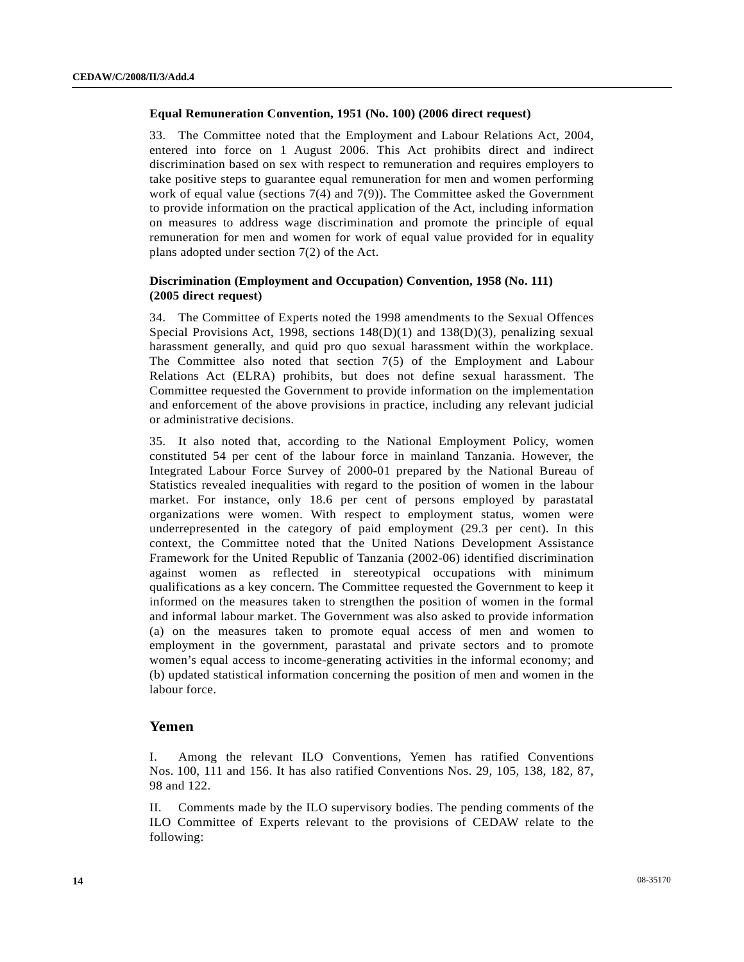# **Equal Remuneration Convention, 1951 (No. 100) (2006 direct request)**

33. The Committee noted that the Employment and Labour Relations Act, 2004, entered into force on 1 August 2006. This Act prohibits direct and indirect discrimination based on sex with respect to remuneration and requires employers to take positive steps to guarantee equal remuneration for men and women performing work of equal value (sections 7(4) and 7(9)). The Committee asked the Government to provide information on the practical application of the Act, including information on measures to address wage discrimination and promote the principle of equal remuneration for men and women for work of equal value provided for in equality plans adopted under section 7(2) of the Act.

### **Discrimination (Employment and Occupation) Convention, 1958 (No. 111) (2005 direct request)**

34. The Committee of Experts noted the 1998 amendments to the Sexual Offences Special Provisions Act, 1998, sections  $148(D)(1)$  and  $138(D)(3)$ , penalizing sexual harassment generally, and quid pro quo sexual harassment within the workplace. The Committee also noted that section 7(5) of the Employment and Labour Relations Act (ELRA) prohibits, but does not define sexual harassment. The Committee requested the Government to provide information on the implementation and enforcement of the above provisions in practice, including any relevant judicial or administrative decisions.

35. It also noted that, according to the National Employment Policy, women constituted 54 per cent of the labour force in mainland Tanzania. However, the Integrated Labour Force Survey of 2000-01 prepared by the National Bureau of Statistics revealed inequalities with regard to the position of women in the labour market. For instance, only 18.6 per cent of persons employed by parastatal organizations were women. With respect to employment status, women were underrepresented in the category of paid employment (29.3 per cent). In this context, the Committee noted that the United Nations Development Assistance Framework for the United Republic of Tanzania (2002-06) identified discrimination against women as reflected in stereotypical occupations with minimum qualifications as a key concern. The Committee requested the Government to keep it informed on the measures taken to strengthen the position of women in the formal and informal labour market. The Government was also asked to provide information (a) on the measures taken to promote equal access of men and women to employment in the government, parastatal and private sectors and to promote women's equal access to income-generating activities in the informal economy; and (b) updated statistical information concerning the position of men and women in the labour force.

#### **Yemen**

I. Among the relevant ILO Conventions, Yemen has ratified Conventions Nos. 100, 111 and 156. It has also ratified Conventions Nos. 29, 105, 138, 182, 87, 98 and 122.

II. Comments made by the ILO supervisory bodies. The pending comments of the ILO Committee of Experts relevant to the provisions of CEDAW relate to the following: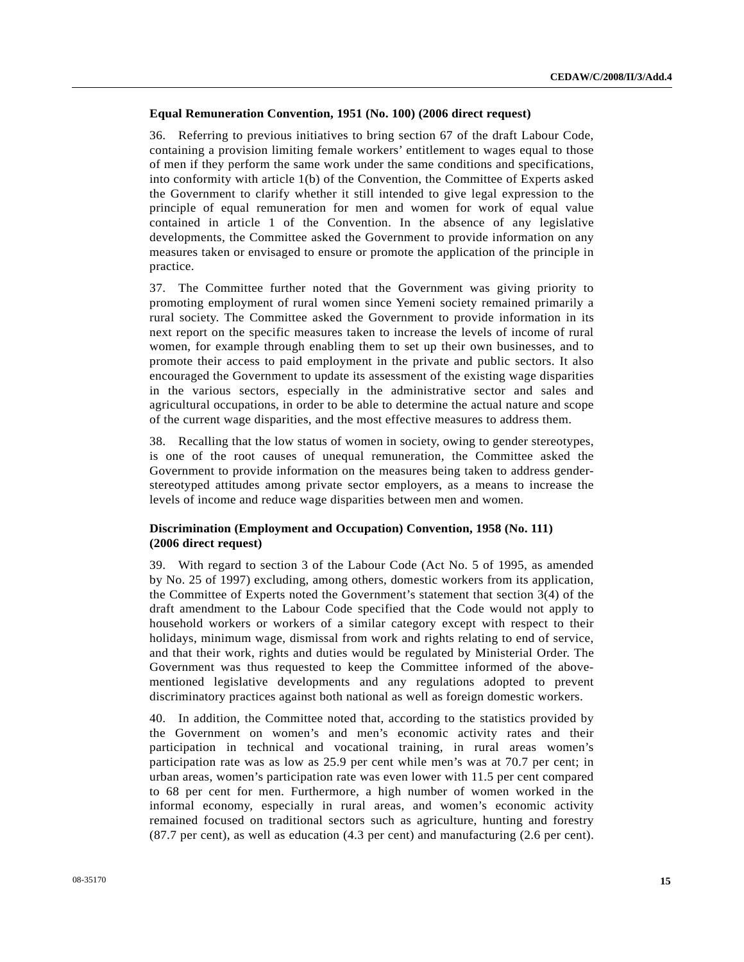# **Equal Remuneration Convention, 1951 (No. 100) (2006 direct request)**

36. Referring to previous initiatives to bring section 67 of the draft Labour Code, containing a provision limiting female workers' entitlement to wages equal to those of men if they perform the same work under the same conditions and specifications, into conformity with article 1(b) of the Convention, the Committee of Experts asked the Government to clarify whether it still intended to give legal expression to the principle of equal remuneration for men and women for work of equal value contained in article 1 of the Convention. In the absence of any legislative developments, the Committee asked the Government to provide information on any measures taken or envisaged to ensure or promote the application of the principle in practice.

37. The Committee further noted that the Government was giving priority to promoting employment of rural women since Yemeni society remained primarily a rural society. The Committee asked the Government to provide information in its next report on the specific measures taken to increase the levels of income of rural women, for example through enabling them to set up their own businesses, and to promote their access to paid employment in the private and public sectors. It also encouraged the Government to update its assessment of the existing wage disparities in the various sectors, especially in the administrative sector and sales and agricultural occupations, in order to be able to determine the actual nature and scope of the current wage disparities, and the most effective measures to address them.

38. Recalling that the low status of women in society, owing to gender stereotypes, is one of the root causes of unequal remuneration, the Committee asked the Government to provide information on the measures being taken to address genderstereotyped attitudes among private sector employers, as a means to increase the levels of income and reduce wage disparities between men and women.

# **Discrimination (Employment and Occupation) Convention, 1958 (No. 111) (2006 direct request)**

39. With regard to section 3 of the Labour Code (Act No. 5 of 1995, as amended by No. 25 of 1997) excluding, among others, domestic workers from its application, the Committee of Experts noted the Government's statement that section 3(4) of the draft amendment to the Labour Code specified that the Code would not apply to household workers or workers of a similar category except with respect to their holidays, minimum wage, dismissal from work and rights relating to end of service, and that their work, rights and duties would be regulated by Ministerial Order. The Government was thus requested to keep the Committee informed of the abovementioned legislative developments and any regulations adopted to prevent discriminatory practices against both national as well as foreign domestic workers.

40. In addition, the Committee noted that, according to the statistics provided by the Government on women's and men's economic activity rates and their participation in technical and vocational training, in rural areas women's participation rate was as low as 25.9 per cent while men's was at 70.7 per cent; in urban areas, women's participation rate was even lower with 11.5 per cent compared to 68 per cent for men. Furthermore, a high number of women worked in the informal economy, especially in rural areas, and women's economic activity remained focused on traditional sectors such as agriculture, hunting and forestry (87.7 per cent), as well as education (4.3 per cent) and manufacturing (2.6 per cent).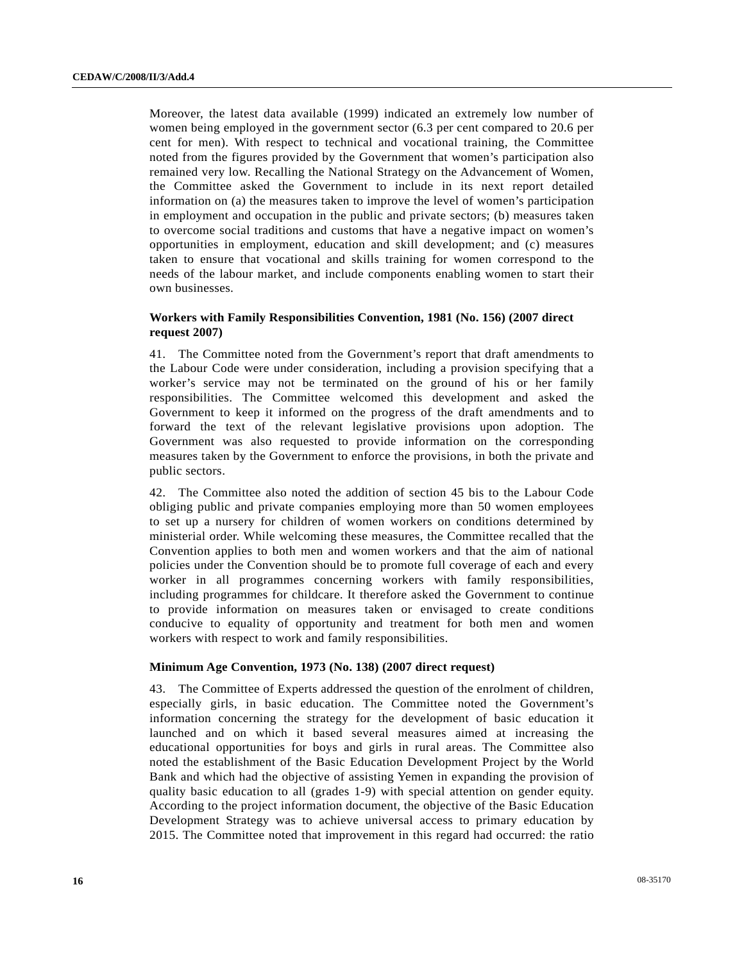Moreover, the latest data available (1999) indicated an extremely low number of women being employed in the government sector (6.3 per cent compared to 20.6 per cent for men). With respect to technical and vocational training, the Committee noted from the figures provided by the Government that women's participation also remained very low. Recalling the National Strategy on the Advancement of Women, the Committee asked the Government to include in its next report detailed information on (a) the measures taken to improve the level of women's participation in employment and occupation in the public and private sectors; (b) measures taken to overcome social traditions and customs that have a negative impact on women's opportunities in employment, education and skill development; and (c) measures taken to ensure that vocational and skills training for women correspond to the needs of the labour market, and include components enabling women to start their own businesses.

# **Workers with Family Responsibilities Convention, 1981 (No. 156) (2007 direct request 2007)**

41. The Committee noted from the Government's report that draft amendments to the Labour Code were under consideration, including a provision specifying that a worker's service may not be terminated on the ground of his or her family responsibilities. The Committee welcomed this development and asked the Government to keep it informed on the progress of the draft amendments and to forward the text of the relevant legislative provisions upon adoption. The Government was also requested to provide information on the corresponding measures taken by the Government to enforce the provisions, in both the private and public sectors.

42. The Committee also noted the addition of section 45 bis to the Labour Code obliging public and private companies employing more than 50 women employees to set up a nursery for children of women workers on conditions determined by ministerial order. While welcoming these measures, the Committee recalled that the Convention applies to both men and women workers and that the aim of national policies under the Convention should be to promote full coverage of each and every worker in all programmes concerning workers with family responsibilities, including programmes for childcare. It therefore asked the Government to continue to provide information on measures taken or envisaged to create conditions conducive to equality of opportunity and treatment for both men and women workers with respect to work and family responsibilities.

#### **Minimum Age Convention, 1973 (No. 138) (2007 direct request)**

43. The Committee of Experts addressed the question of the enrolment of children, especially girls, in basic education. The Committee noted the Government's information concerning the strategy for the development of basic education it launched and on which it based several measures aimed at increasing the educational opportunities for boys and girls in rural areas. The Committee also noted the establishment of the Basic Education Development Project by the World Bank and which had the objective of assisting Yemen in expanding the provision of quality basic education to all (grades 1-9) with special attention on gender equity. According to the project information document, the objective of the Basic Education Development Strategy was to achieve universal access to primary education by 2015. The Committee noted that improvement in this regard had occurred: the ratio